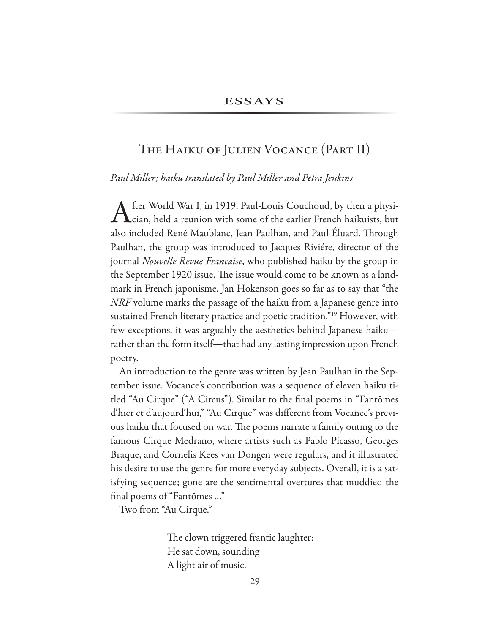# The Haiku of Julien Vocance (Part II)

#### *Paul Miller; haiku translated by Paul Miller and Petra Jenkins*

fter World War I, in 1919, Paul-Louis Couchoud, by then a physician, held a reunion with some of the earlier French haikuists, but also included René Maublanc, Jean Paulhan, and Paul Éluard. Through Paulhan, the group was introduced to Jacques Riviére, director of the journal *Nouvelle Revue Francaise*, who published haiku by the group in the September 1920 issue. The issue would come to be known as a landmark in French japonisme. Jan Hokenson goes so far as to say that "the *NRF* volume marks the passage of the haiku from a Japanese genre into sustained French literary practice and poetic tradition."19 However, with few exceptions, it was arguably the aesthetics behind Japanese haiku rather than the form itself—that had any lasting impression upon French poetry.

An introduction to the genre was written by Jean Paulhan in the September issue. Vocance's contribution was a sequence of eleven haiku titled "Au Cirque" ("A Circus"). Similar to the fnal poems in "Fantōmes d'hier et d'aujourd'hui," "Au Cirque" was diferent from Vocance's previous haiku that focused on war. The poems narrate a family outing to the famous Cirque Medrano, where artists such as Pablo Picasso, Georges Braque, and Cornelis Kees van Dongen were regulars, and it illustrated his desire to use the genre for more everyday subjects. Overall, it is a satisfying sequence; gone are the sentimental overtures that muddied the final poems of "Fantomes ..."

Two from "Au Cirque."

The clown triggered frantic laughter: He sat down, sounding A light air of music.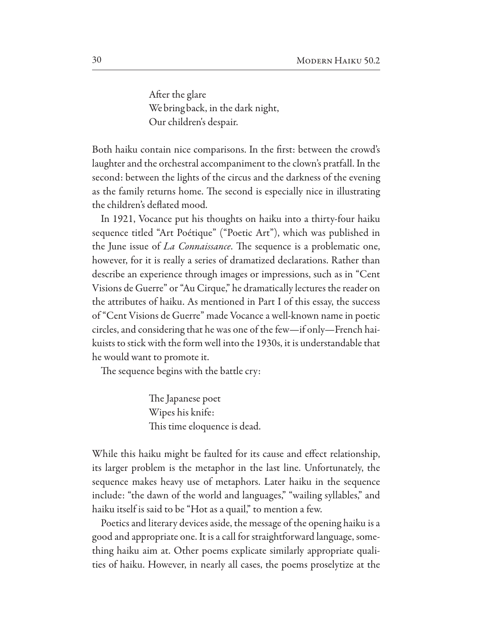After the glare We bring back, in the dark night, Our children's despair.

Both haiku contain nice comparisons. In the frst: between the crowd's laughter and the orchestral accompaniment to the clown's pratfall. In the second: between the lights of the circus and the darkness of the evening as the family returns home. The second is especially nice in illustrating the children's deflated mood.

In 1921, Vocance put his thoughts on haiku into a thirty-four haiku sequence titled "Art Poétique" ("Poetic Art"), which was published in the June issue of *La Connaissance*. The sequence is a problematic one, however, for it is really a series of dramatized declarations. Rather than describe an experience through images or impressions, such as in "Cent" Visions de Guerre" or "Au Cirque," he dramatically lectures the reader on the attributes of haiku. As mentioned in Part I of this essay, the success of "Cent Visions de Guerre" made Vocance a well-known name in poetic circles, and considering that he was one of the few—if only—French haikuists to stick with the form well into the 1930s, it is understandable that he would want to promote it.

The sequence begins with the battle cry:

The Japanese poet Wipes his knife: This time eloquence is dead.

While this haiku might be faulted for its cause and effect relationship, its larger problem is the metaphor in the last line. Unfortunately, the sequence makes heavy use of metaphors. Later haiku in the sequence include: "the dawn of the world and languages," "wailing syllables," and haiku itself is said to be "Hot as a quail," to mention a few.

Poetics and literary devices aside, the message of the opening haiku is a good and appropriate one. It is a call for straightforward language, something haiku aim at. Other poems explicate similarly appropriate qualities of haiku. However, in nearly all cases, the poems proselytize at the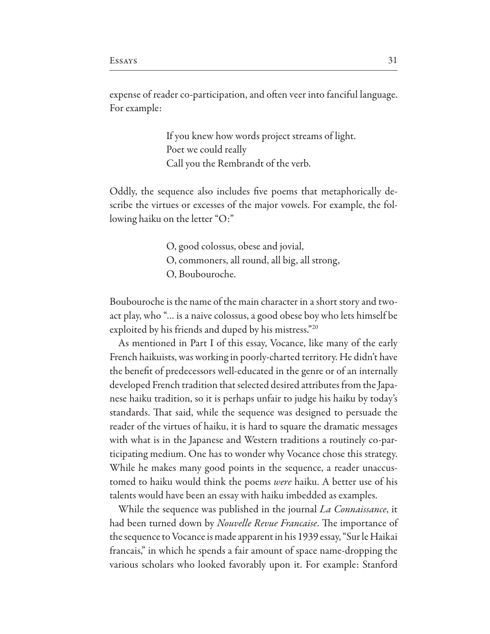expense of reader co-participation, and often veer into fanciful language. For example:

> If you knew how words project streams of light. Poet we could really Call you the Rembrandt of the verb.

Oddly, the sequence also includes five poems that metaphorically describe the virtues or excesses of the major vowels. For example, the following haiku on the letter "O:"

- O, good colossus, obese and jovial,
- O, commoners, all round, all big, all strong,
- O. Boubouroche.

Boubouroche is the name of the main character in a short story and twoact play, who "... is a naive colossus, a good obese boy who lets himself be exploited by his friends and duped by his mistress."20

As mentioned in Part I of this essay, Vocance, like many of the early French haikuists, was working in poorly-charted territory. He didn't have the benefit of predecessors well-educated in the genre or of an internally developed French tradition that selected desired attributes from the Japanese haiku tradition, so it is perhaps unfair to judge his haiku by today's standards. That said, while the sequence was designed to persuade the reader of the virtues of haiku, it is hard to square the dramatic messages with what is in the Japanese and Western traditions a routinely co-participating medium. One has to wonder why Vocance chose this strategy. While he makes many good points in the sequence, a reader unaccustomed to haiku would think the poems were haiku. A better use of his talents would have been an essay with haiku imbedded as examples.

While the sequence was published in the journal *La Connaissance*, it had been turned down by *Nouvelle Revue Francaise*. The importance of the sequence to Vocance is made apparent in his 1939 essay, "Sur le Haikai francais," in which he spends a fair amount of space name-dropping the various scholars who looked favorably upon it. For example: Stanford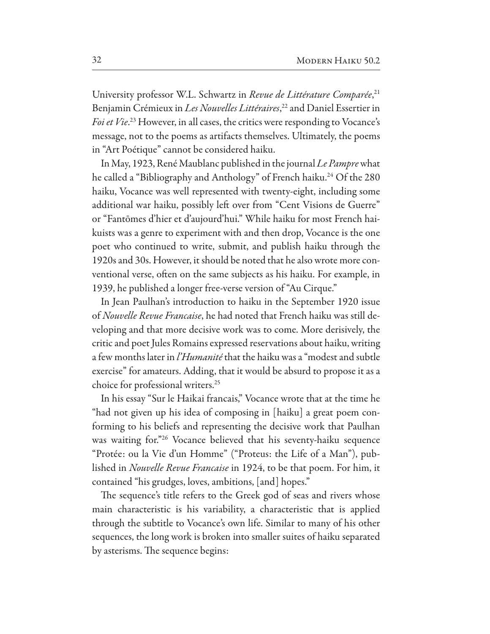University professor W.L. Schwartz in Revue de Littérature Comparée,<sup>21</sup> Benjamin Crémieux in Les Nouvelles Littéraires,<sup>22</sup> and Daniel Essertier in *Foi et Vie*.<sup>23</sup> However, in all cases, the critics were responding to Vocance's message, not to the poems as artifacts themselves. Ultimately, the poems in "Art Poétique" cannot be considered haiku.

In May, 1923, René Maublanc published in the journal Le Pampre what he called a "Bibliography and Anthology" of French haiku.<sup>24</sup> Of the 280 haiku, Vocance was well represented with twenty-eight, including some additional war haiku, possibly left over from "Cent Visions de Guerre" or "Fantomes d'hier et d'aujourd'hui." While haiku for most French haikuists was a genre to experiment with and then drop, Vocance is the one poet who continued to write, submit, and publish haiku through the 1920s and 30s. However, it should be noted that he also wrote more conventional verse, often on the same subjects as his haiku. For example, in 1939, he published a longer free-verse version of "Au Cirque."

In Jean Paulhan's introduction to haiku in the September 1920 issue of Nouvelle Revue Francaise, he had noted that French haiku was still developing and that more decisive work was to come. More derisively, the critic and poet Jules Romains expressed reservations about haiku, writing a few months later in *l'Humanité* that the haiku was a "modest and subtle exercise" for amateurs. Adding, that it would be absurd to propose it as a choice for professional writers.<sup>25</sup>

In his essay "Sur le Haikai francais," Vocance wrote that at the time he "had not given up his idea of composing in [haiku] a great poem conforming to his beliefs and representing the decisive work that Paulhan was waiting for."<sup>26</sup> Vocance believed that his seventy-haiku sequence "Protée: ou la Vie d'un Homme" ("Proteus: the Life of a Man"), published in *Nouvelle Revue Francaise* in 1924, to be that poem. For him, it contained "his grudges, loves, ambitions, [and] hopes."

The sequence's title refers to the Greek god of seas and rivers whose main characteristic is his variability, a characteristic that is applied through the subtitle to Vocance's own life. Similar to many of his other sequences, the long work is broken into smaller suites of haiku separated by asterisms. The sequence begins: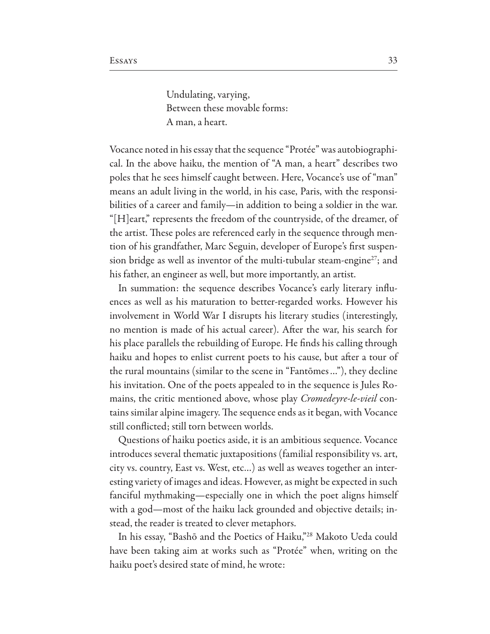Undulating, varying, Between these movable forms: A man, a heart.

Vocance noted in his essay that the sequence "Protée" was autobiographical. In the above haiku, the mention of "A man, a heart" describes two poles that he sees himself caught between. Here, Vocance's use of "man" means an adult living in the world, in his case, Paris, with the responsibilities of a career and family—in addition to being a soldier in the war. "[H]eart," represents the freedom of the countryside, of the dreamer, of the artist. These poles are referenced early in the sequence through mention of his grandfather, Marc Seguin, developer of Europe's frst suspension bridge as well as inventor of the multi-tubular steam-engine<sup>27</sup>; and his father, an engineer as well, but more importantly, an artist.

In summation: the sequence describes Vocance's early literary influences as well as his maturation to better-regarded works. However his involvement in World War I disrupts his literary studies (interestingly, no mention is made of his actual career). Afer the war, his search for his place parallels the rebuilding of Europe. He fnds his calling through haiku and hopes to enlist current poets to his cause, but after a tour of the rural mountains (similar to the scene in "Fantōmes…"), they decline his invitation. One of the poets appealed to in the sequence is Jules Romains, the critic mentioned above, whose play *Cromedeyre-le-vieil* contains similar alpine imagery. The sequence ends as it began, with Vocance still conflicted; still torn between worlds.

Questions of haiku poetics aside, it is an ambitious sequence. Vocance introduces several thematic juxtapositions (familial responsibility vs. art, city vs. country, East vs. West, etc…) as well as weaves together an interesting variety of images and ideas. However, as might be expected in such fanciful mythmaking—especially one in which the poet aligns himself with a god—most of the haiku lack grounded and objective details; instead, the reader is treated to clever metaphors.

In his essay, "Bashō and the Poetics of Haiku,"28 Makoto Ueda could have been taking aim at works such as "Protée" when, writing on the haiku poet's desired state of mind, he wrote: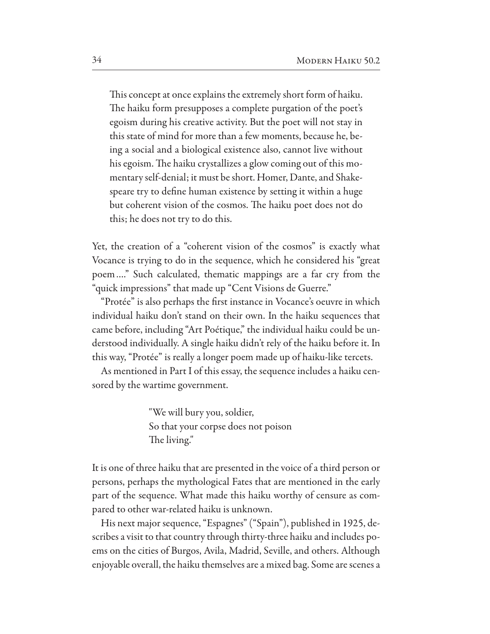This concept at once explains the extremely short form of haiku. The haiku form presupposes a complete purgation of the poet's egoism during his creative activity. But the poet will not stay in this state of mind for more than a few moments, because he, being a social and a biological existence also, cannot live without his egoism. The haiku crystallizes a glow coming out of this momentary self-denial; it must be short. Homer, Dante, and Shakespeare try to define human existence by setting it within a huge but coherent vision of the cosmos. The haiku poet does not do this; he does not try to do this.

Yet, the creation of a "coherent vision of the cosmos" is exactly what Vocance is trying to do in the sequence, which he considered his "great" poem...." Such calculated, thematic mappings are a far cry from the "quick impressions" that made up "Cent Visions de Guerre."

"Protée" is also perhaps the first instance in Vocance's oeuvre in which individual haiku don't stand on their own. In the haiku sequences that came before, including "Art Poétique," the individual haiku could be understood individually. A single haiku didn't rely of the haiku before it. In this way, "Protée" is really a longer poem made up of haiku-like tercets.

As mentioned in Part I of this essay, the sequence includes a haiku censored by the wartime government.

> "We will bury you, soldier, So that your corpse does not poison The living."

It is one of three haiku that are presented in the voice of a third person or persons, perhaps the mythological Fates that are mentioned in the early part of the sequence. What made this haiku worthy of censure as compared to other war-related haiku is unknown.

His next major sequence, "Espagnes" ("Spain"), published in 1925, describes a visit to that country through thirty-three haiku and includes poems on the cities of Burgos, Avila, Madrid, Seville, and others. Although enjoyable overall, the haiku themselves are a mixed bag. Some are scenes a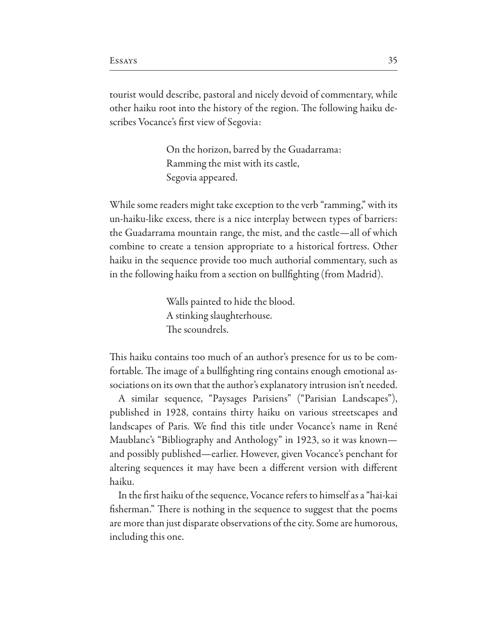tourist would describe, pastoral and nicely devoid of commentary, while other haiku root into the history of the region. The following haiku describes Vocance's frst view of Segovia:

> On the horizon, barred by the Guadarrama: Ramming the mist with its castle, Segovia appeared.

While some readers might take exception to the verb "ramming," with its un-haiku-like excess, there is a nice interplay between types of barriers: the Guadarrama mountain range, the mist, and the castle—all of which combine to create a tension appropriate to a historical fortress. Other haiku in the sequence provide too much authorial commentary, such as in the following haiku from a section on bullfghting (from Madrid).

> Walls painted to hide the blood. A stinking slaughterhouse. The scoundrels.

This haiku contains too much of an author's presence for us to be comfortable. The image of a bullfighting ring contains enough emotional associations on its own that the author's explanatory intrusion isn't needed.

A similar sequence, "Paysages Parisiens" ("Parisian Landscapes"), published in 1928, contains thirty haiku on various streetscapes and landscapes of Paris. We find this title under Vocance's name in René Maublanc's "Bibliography and Anthology" in 1923, so it was known and possibly published—earlier. However, given Vocance's penchant for altering sequences it may have been a diferent version with diferent haiku.

In the frst haiku of the sequence, Vocance refers to himself as a "hai-kai fisherman." There is nothing in the sequence to suggest that the poems are more than just disparate observations of the city. Some are humorous, including this one.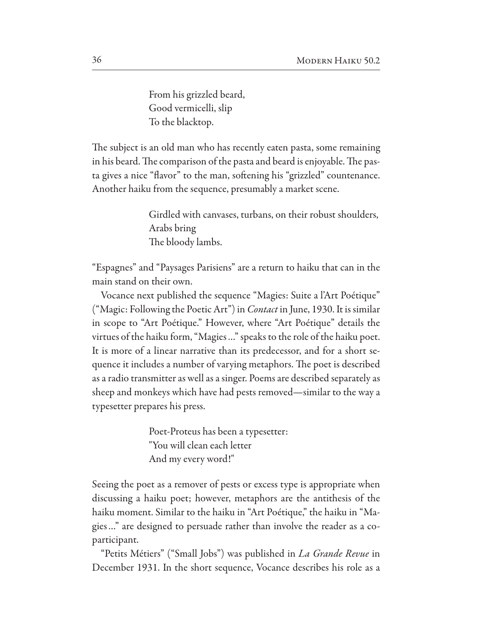From his grizzled beard, Good vermicelli, slip To the blacktop.

The subject is an old man who has recently eaten pasta, some remaining in his beard. The comparison of the pasta and beard is enjoyable. The pasta gives a nice "flavor" to the man, softening his "grizzled" countenance. Another haiku from the sequence, presumably a market scene.

> Girdled with canvases, turbans, on their robust shoulders, Arabs bring The bloody lambs.

"Espagnes" and "Paysages Parisiens" are a return to haiku that can in the main stand on their own.

Vocance next published the sequence "Magies: Suite a l'Art Poétique" ("Magic: Following the Poetic Art") in *Contact* in June, 1930. It is similar in scope to "Art Poétique." However, where "Art Poétique" details the virtues of the haiku form, "Magies..." speaks to the role of the haiku poet. It is more of a linear narrative than its predecessor, and for a short sequence it includes a number of varying metaphors. The poet is described as a radio transmitter as well as a singer. Poems are described separately as sheep and monkeys which have had pests removed—similar to the way a typesetter prepares his press.

> Poet-Proteus has been a typesetter: "You will clean each letter And my every word!"

Seeing the poet as a remover of pests or excess type is appropriate when discussing a haiku poet; however, metaphors are the antithesis of the haiku moment. Similar to the haiku in "Art Poétique," the haiku in "Magies..." are designed to persuade rather than involve the reader as a coparticipant.

"Petits Métiers" ("Small Jobs") was published in *La Grande Revue* in December 1931. In the short sequence, Vocance describes his role as a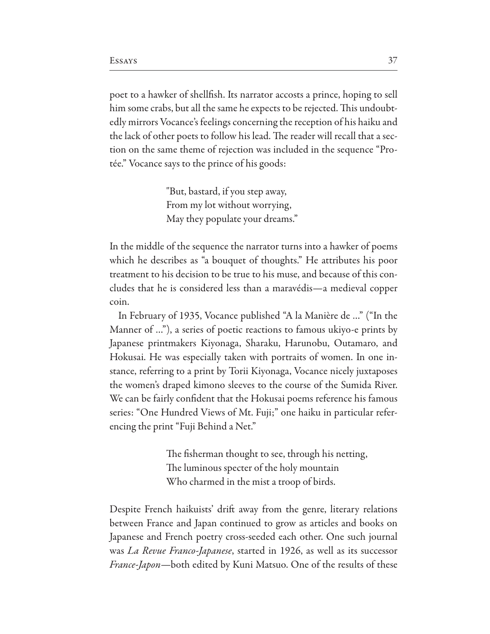poet to a hawker of shellfish. Its narrator accosts a prince, hoping to sell him some crabs, but all the same he expects to be rejected. This undoubtedly mirrors Vocance's feelings concerning the reception of his haiku and the lack of other poets to follow his lead. The reader will recall that a section on the same theme of rejection was included in the sequence "Protée." Vocance says to the prince of his goods:

> "But, bastard, if you step away, From my lot without worrying, May they populate your dreams."

In the middle of the sequence the narrator turns into a hawker of poems which he describes as "a bouquet of thoughts." He attributes his poor treatment to his decision to be true to his muse, and because of this concludes that he is considered less than a maravédis—a medieval copper coin.

In February of 1935, Vocance published "A la Manière de ..." ("In the Manner of ..."), a series of poetic reactions to famous ukiyo-e prints by Japanese printmakers Kiyonaga, Sharaku, Harunobu, Outamaro, and Hokusai. He was especially taken with portraits of women. In one instance, referring to a print by Torii Kiyonaga, Vocance nicely juxtaposes the women's draped kimono sleeves to the course of the Sumida River. We can be fairly confident that the Hokusai poems reference his famous series: "One Hundred Views of Mt. Fuji;" one haiku in particular referencing the print "Fuji Behind a Net."

> The fisherman thought to see, through his netting, The luminous specter of the holy mountain Who charmed in the mist a troop of birds.

Despite French haikuists' drift away from the genre, literary relations between France and Japan continued to grow as articles and books on Japanese and French poetry cross-seeded each other. One such journal was *La Revue Franco-Japanese*, started in 1926, as well as its successor *France-Japon*—both edited by Kuni Matsuo. One of the results of these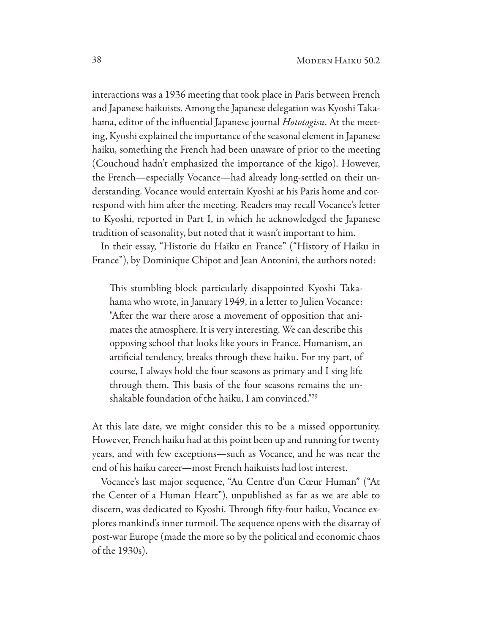interactions was a 1936 meeting that took place in Paris between French and Japanese haikuists. Among the Japanese delegation was Kyoshi Takahama, editor of the influential Japanese journal *Hototogisu*. At the meeting, Kyoshi explained the importance of the seasonal element in Japanese haiku, something the French had been unaware of prior to the meeting (Couchoud hadn't emphasized the importance of the kigo). However, the French—especially Vocance—had already long-settled on their understanding. Vocance would entertain Kyoshi at his Paris home and correspond with him after the meeting. Readers may recall Vocance's letter to Kyoshi, reported in Part I, in which he acknowledged the Japanese tradition of seasonality, but noted that it wasn't important to him.

In their essay, "Historie du Haïku en France" ("History of Haiku in France"), by Dominique Chipot and Jean Antonini, the authors noted:

This stumbling block particularly disappointed Kyoshi Takahama who wrote, in January 1949, in a letter to Julien Vocance: "Afer the war there arose a movement of opposition that animates the atmosphere. It is very interesting. We can describe this opposing school that looks like yours in France. Humanism, an artifcial tendency, breaks through these haiku. For my part, of course, I always hold the four seasons as primary and I sing life through them. This basis of the four seasons remains the unshakable foundation of the haiku, I am convinced."29

At this late date, we might consider this to be a missed opportunity. However, French haiku had at this point been up and running for twenty years, and with few exceptions—such as Vocance, and he was near the end of his haiku career—most French haikuists had lost interest.

Vocance's last major sequence, "Au Centre d'un Cœur Human" ("At the Center of a Human Heart"), unpublished as far as we are able to discern, was dedicated to Kyoshi. Through fifty-four haiku, Vocance explores mankind's inner turmoil. The sequence opens with the disarray of post-war Europe (made the more so by the political and economic chaos of the 1930s).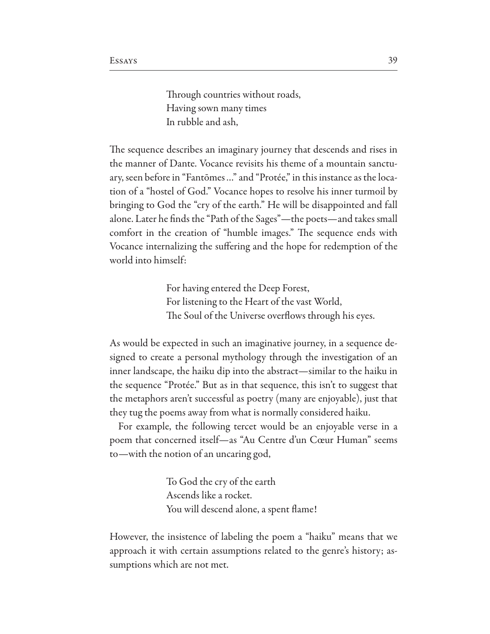Through countries without roads, Having sown many times In rubble and ash,

The sequence describes an imaginary journey that descends and rises in the manner of Dante. Vocance revisits his theme of a mountain sanctuary, seen before in "Fantomes..." and "Protée," in this instance as the location of a "hostel of God." Vocance hopes to resolve his inner turmoil by bringing to God the "cry of the earth." He will be disappointed and fall alone. Later he finds the "Path of the Sages"-the poets-and takes small comfort in the creation of "humble images." The sequence ends with Vocance internalizing the suffering and the hope for redemption of the world into himself:

> For having entered the Deep Forest, For listening to the Heart of the vast World, The Soul of the Universe overflows through his eyes.

As would be expected in such an imaginative journey, in a sequence designed to create a personal mythology through the investigation of an inner landscape, the haiku dip into the abstract—similar to the haiku in the sequence "Protée." But as in that sequence, this isn't to suggest that the metaphors aren't successful as poetry (many are enjoyable), just that they tug the poems away from what is normally considered haiku.

For example, the following tercet would be an enjoyable verse in a poem that concerned itself—as "Au Centre d'un Cœur Human" seems to—with the notion of an uncaring god,

> To God the cry of the earth Ascends like a rocket. You will descend alone, a spent flame!

However, the insistence of labeling the poem a "haiku" means that we approach it with certain assumptions related to the genre's history; assumptions which are not met.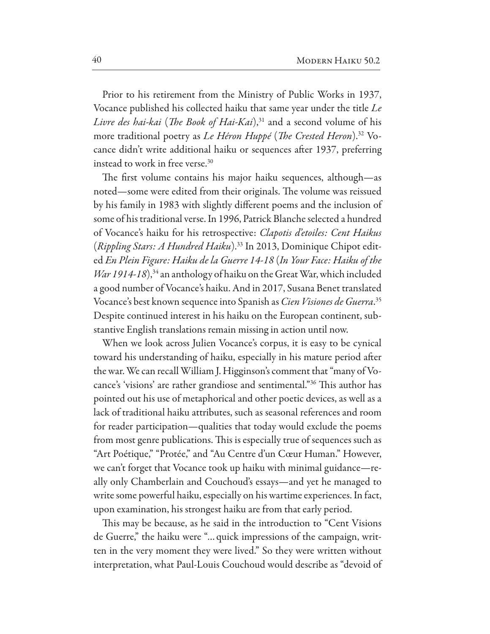Prior to his retirement from the Ministry of Public Works in 1937, Vocance published his collected haiku that same year under the title *Le Livre des hai-kai* (*The Book of Hai-Kai*),<sup>31</sup> and a second volume of his more traditional poetry as *Le Héron Huppé* (*The Crested Heron*).<sup>32</sup> Vocance didn't write additional haiku or sequences after 1937, preferring instead to work in free verse.30

The first volume contains his major haiku sequences, although—as noted—some were edited from their originals. The volume was reissued by his family in 1983 with slightly diferent poems and the inclusion of some of his traditional verse. In 1996, Patrick Blanche selected a hundred of Vocance's haiku for his retrospective: *Clapotis d'etoiles: Cent Haikus* (*Rippling Stars: A Hundred Haiku*).33 In 2013, Dominique Chipot edited *En Plein Figure: Haiku de la Guerre 14-18* (*In Your Face: Haiku of the War 1914-18*),<sup>34</sup> an anthology of haiku on the Great War, which included a good number of Vocance's haiku. And in 2017, Susana Benet translated Vocance's best known sequence into Spanish as *Cien Visiones de Guerra*. 35 Despite continued interest in his haiku on the European continent, substantive English translations remain missing in action until now.

When we look across Julien Vocance's corpus, it is easy to be cynical toward his understanding of haiku, especially in his mature period afer the war. We can recall William J. Higginson's comment that "many of Vocance's 'visions' are rather grandiose and sentimental."<sup>36</sup> This author has pointed out his use of metaphorical and other poetic devices, as well as a lack of traditional haiku attributes, such as seasonal references and room for reader participation—qualities that today would exclude the poems from most genre publications. This is especially true of sequences such as "Art Poétique," "Protée," and "Au Centre d'un Cœur Human." However, we can't forget that Vocance took up haiku with minimal guidance—really only Chamberlain and Couchoud's essays—and yet he managed to write some powerful haiku, especially on his wartime experiences. In fact, upon examination, his strongest haiku are from that early period.

This may be because, as he said in the introduction to "Cent Visions de Guerre," the haiku were "... quick impressions of the campaign, written in the very moment they were lived." So they were written without interpretation, what Paul-Louis Couchoud would describe as "devoid of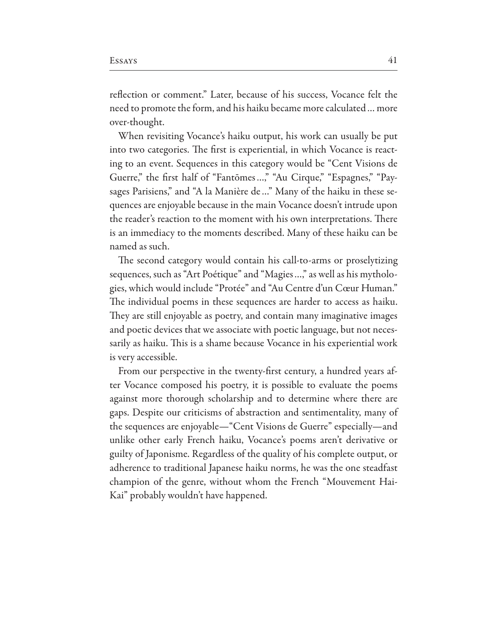reflection or comment." Later, because of his success, Vocance felt the need to promote the form, and his haiku became more calculated... more over-thought.

When revisiting Vocance's haiku output, his work can usually be put into two categories. The first is experiential, in which Vocance is reacting to an event. Sequences in this category would be "Cent Visions de Guerre," the first half of "Fantomes...," "Au Cirque," "Espagnes," "Paysages Parisiens," and "A la Manière de..." Many of the haiku in these sequences are enjoyable because in the main Vocance doesn't intrude upon the reader's reaction to the moment with his own interpretations. There is an immediacy to the moments described. Many of these haiku can be named as such.

The second category would contain his call-to-arms or proselytizing sequences, such as "Art Poétique" and "Magies ...," as well as his mythologies, which would include "Protée" and "Au Centre d'un Cœur Human." The individual poems in these sequences are harder to access as haiku. They are still enjoyable as poetry, and contain many imaginative images and poetic devices that we associate with poetic language, but not necessarily as haiku. This is a shame because Vocance in his experiential work is very accessible.

From our perspective in the twenty-first century, a hundred years after Vocance composed his poetry, it is possible to evaluate the poems against more thorough scholarship and to determine where there are gaps. Despite our criticisms of abstraction and sentimentality, many of the sequences are enjoyable—"Cent Visions de Guerre" especially—and unlike other early French haiku, Vocance's poems aren't derivative or guilty of Japonisme. Regardless of the quality of his complete output, or adherence to traditional Japanese haiku norms, he was the one steadfast champion of the genre, without whom the French "Mouvement Hai-Kai" probably wouldn't have happened.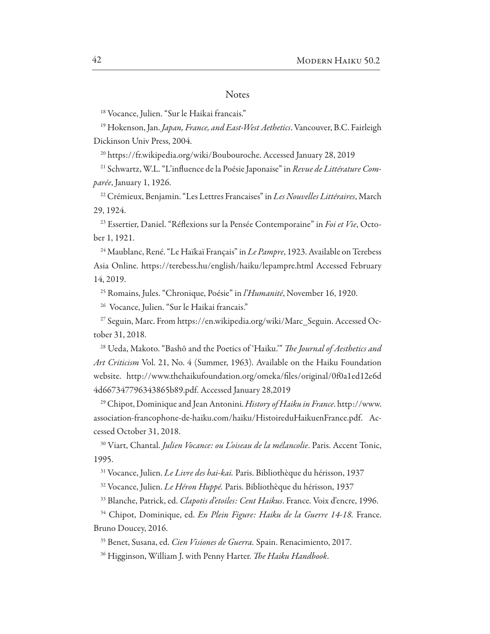#### **Notes**

<sup>18</sup> Vocance, Julien. "Sur le Haikai francais."

<sup>19</sup> Hokenson, Jan. Japan, France, and East-West Aethetics. Vancouver, B.C. Fairleigh Dickinson Univ Press, 2004.

<sup>20</sup> https://fr.wikipedia.org/wiki/Boubouroche. Accessed January 28, 2019

<sup>21</sup> Schwartz, W.L. "L'influence de la Poésie Japonaise" in Revue de Littérature Comparée, January 1, 1926.

<sup>22</sup> Crémieux, Benjamin. "Les Lettres Francaises" in Les Nouvelles Littéraires, March 29, 1924.

<sup>23</sup> Essertier, Daniel. "Réflexions sur la Pensée Contemporaine" in Foi et Vie, October 1, 1921.

<sup>24</sup> Maublanc, René. "Le Haïkaï Français" in Le Pampre, 1923. Available on Terebess Asia Online. https://terebess.hu/english/haiku/lepampre.html Accessed February 14, 2019.

<sup>25</sup> Romains, Jules. "Chronique, Poésie" in *l'Humanité*, November 16, 1920.

<sup>26</sup> Vocance, Julien. "Sur le Haikai francais."

<sup>27</sup> Seguin, Marc. From https://en.wikipedia.org/wiki/Marc\_Seguin. Accessed October 31, 2018.

<sup>28</sup> Ueda, Makoto. "Bashō and the Poetics of 'Haiku." The Journal of Aesthetics and Art Criticism Vol. 21, No. 4 (Summer, 1963). Available on the Haiku Foundation website. http://www.thehaikufoundation.org/omeka/files/original/0f0a1ed12e6d 4d667347796343865b89.pdf. Accessed January 28,2019

<sup>29</sup> Chipot, Dominique and Jean Antonini. History of Haiku in France. http://www. association-francophone-de-haiku.com/haiku/HistoireduHaikuenFrance.pdf. Accessed October 31, 2018.

<sup>30</sup> Viart, Chantal. Julien Vocance: ou L'oiseau de la mélancolie. Paris. Accent Tonic, 1995.

<sup>31</sup> Vocance, Julien. Le Livre des hai-kai. Paris. Bibliothèque du hérisson, 1937

<sup>32</sup> Vocance, Julien. Le Héron Huppé. Paris. Bibliothèque du hérisson, 1937

<sup>33</sup> Blanche, Patrick, ed. Clapotis d'etoiles: Cent Haikus. France. Voix d'encre, 1996.

<sup>34</sup> Chipot, Dominique, ed. En Plein Figure: Haiku de la Guerre 14-18. France. Bruno Doucey, 2016.

<sup>35</sup> Benet, Susana, ed. Cien Visiones de Guerra. Spain. Renacimiento, 2017.

<sup>36</sup> Higginson, William J. with Penny Harter. The Haiku Handbook.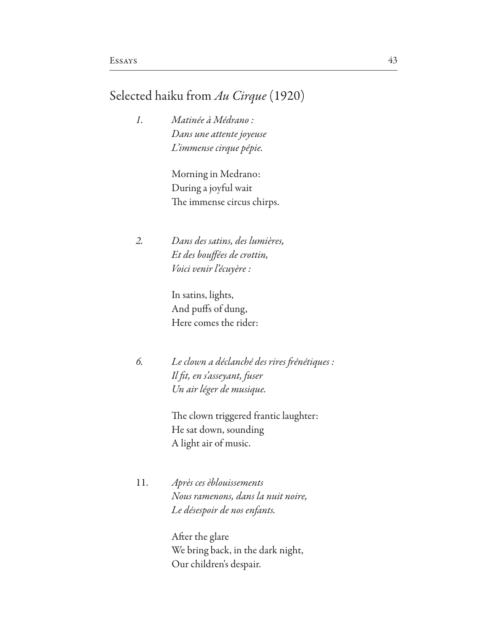## Selected haiku from *Au Cirque* (1920)

*1. Matinée à Médrano : Dans une attente joyeuse L'immense cirque pépie.*

> Morning in Medrano: During a joyful wait The immense circus chirps.

*2. Dans des satins, des lumières, Et des bou*f*ées de crottin, Voici venir l'écuyère :*

> In satins, lights, And pufs of dung, Here comes the rider:

*6. Le clown a déclanché des rires* f*énétiques : Il* f*t, en s'asseyant, fuser Un air léger de musique.*

> The clown triggered frantic laughter: He sat down, sounding A light air of music.

11. *Après ces èblouissements Nous ramenons, dans la nuit noire, Le désespoir de nos enfants.*

> Afer the glare We bring back, in the dark night, Our children's despair.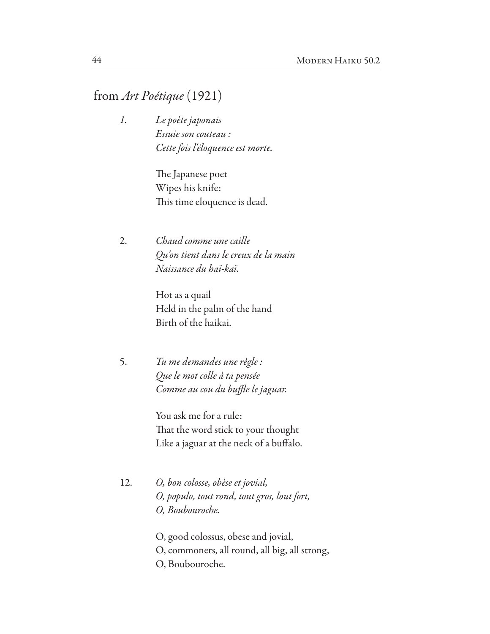# from *Art Poétique* (1921)

*1. Le poète japonais Essuie son couteau : Cette fois l'éloquence est morte.*

> The Japanese poet Wipes his knife: This time eloquence is dead.

2. *Chaud comme une caille Qu'on tient dans le creux de la main Naissance du haï-kaï.*

> Hot as a quail Held in the palm of the hand Birth of the haikai.

5. *Tu me demandes une règle : Que le mot colle à ta pensée Comme au cou du bu*f*e le jaguar.*

> You ask me for a rule: That the word stick to your thought Like a jaguar at the neck of a bufalo.

12. *O, bon colosse, obèse et jo*v*ial, O, populo, tout rond, tout gros, lout fort, O, Boubouroche.*

> O, good colossus, obese and jovial, O, commoners, all round, all big, all strong, O, Boubouroche.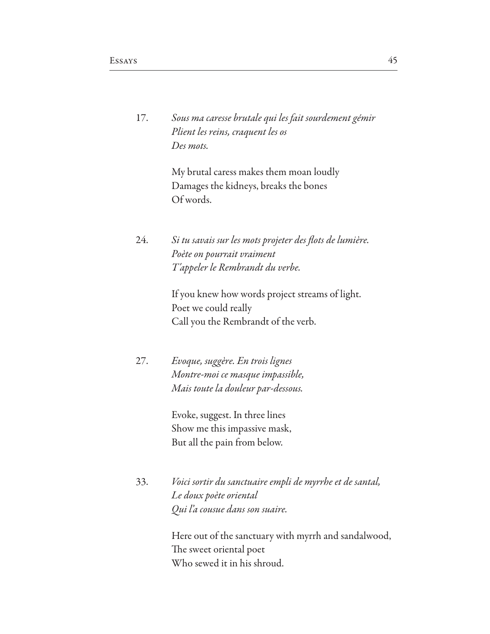|  | Sous ma caresse brutale qui les fait sourdement gémir |
|--|-------------------------------------------------------|
|  | Plient les reins, craquent les os                     |
|  | Des mots.                                             |

 My brutal caress makes them moan loudly Damages the kidneys, breaks the bones Of words.

24. *Si tu savais sur les mots projeter des* f*ots de lumière. Poète on pourrait vraiment T'appeler le Rembrandt du verbe.*

> If you knew how words project streams of light. Poet we could really Call you the Rembrandt of the verb.

27. *Evoque, suggère. En trois lignes Montre-moi ce masque impassible, Mais toute la douleur par-dessous.*

> Evoke, suggest. In three lines Show me this impassive mask, But all the pain from below.

33. *Voici sortir du sanctuaire empli de myrrhe et de santal, Le doux poète oriental Qui l'a cousue dans son suaire.*

> Here out of the sanctuary with myrrh and sandalwood, The sweet oriental poet Who sewed it in his shroud.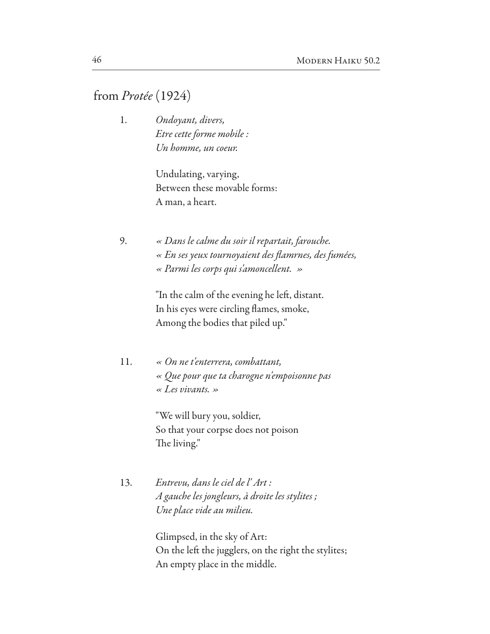## from *Protée* (1924)

1. *Ondoyant, divers, Etre cette forme mobile : Un homme, un coeur.*

> Undulating, varying, Between these movable forms: A man, a heart.

9. *« Dans le calme du soir il repartait, farouche. « En ses yeux tournoyaient des* f*amrnes, des fumées, « Parmi les corps qui s'amoncellent. »*

> "In the calm of the evening he left, distant. In his eyes were circling flames, smoke, Among the bodies that piled up."

11. *« On ne t'enterrera, combattant, « Que pour que ta charogne n'empoisonne pas « Les vivants. »*

> "We will bury you, soldier, So that your corpse does not poison The living."

13. *Entrevu, dans le ciel de l' Art : A gauche les jongleurs, à droite les stylites ; Une place vide au milieu.*

> Glimpsed, in the sky of Art: On the left the jugglers, on the right the stylites; An empty place in the middle.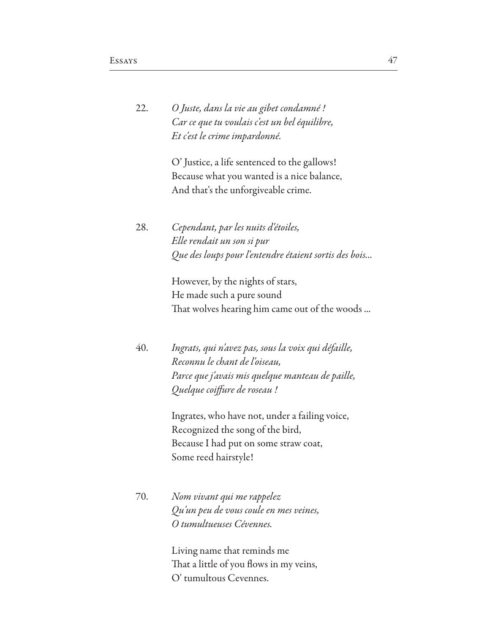| 22. | O Juste, dans la vie au gibet condamné !      |
|-----|-----------------------------------------------|
|     | Car ce que tu voulais c'est un bel équilibre, |
|     | Et c'est le crime impardonné.                 |

O' Justice, a life sentenced to the gallows! Because what you wanted is a nice balance, And that's the unforgiveable crime.

28. *Cependant, par les nuits d'étoiles, Elle rendait un son si pur Que des loups pour l'entendre étaient sortis des bois...*

> However, by the nights of stars, He made such a pure sound That wolves hearing him came out of the woods ...

40. *Ingrats, qui n'avez pas, sous la* v*oix qui défaille, Reconnu le chant de l'oiseau, Parce que j'avais mis quelque manteau de paille, Quelque coi*f*ure de roseau !*

> Ingrates, who have not, under a failing voice, Recognized the song of the bird, Because I had put on some straw coat, Some reed hairstyle!

70. *Nom vivant qui me rappelez Qu'un peu de* v*ous coule en mes veines, O tumultueuses Cévennes.*

> Living name that reminds me That a little of you flows in my veins, O' tumultous Cevennes.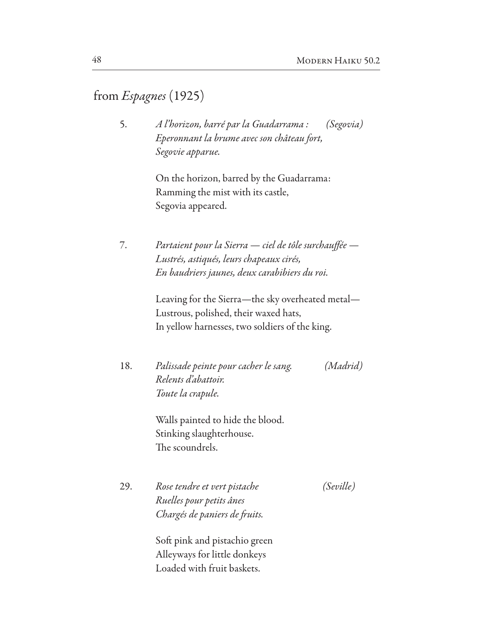# from Espagnes (1925)

5. A l'horizon, barré par la Guadarrama : (Segovia) Eperonnant la brume avec son château fort, Segovie apparue.

> On the horizon, barred by the Guadarrama: Ramming the mist with its castle, Segovia appeared.

Partaient pour la Sierra - ciel de tôle surchauffée -7. Lustrés, astiqués, leurs chapeaux cirés, En baudriers jaunes, deux carabibiers du roi.

> Leaving for the Sierra-the sky overheated metal-Lustrous, polished, their waxed hats, In yellow harnesses, two soldiers of the king.

Palissade peinte pour cacher le sang. 18. (Madrid) Relents d'abattoir. Toute la crapule.

> Walls painted to hide the blood. Stinking slaughterhouse. The scoundrels.

29. Rose tendre et vert pistache (Seville) Ruelles pour petits ânes Chargés de paniers de fruits.

> Soft pink and pistachio green Alleyways for little donkeys Loaded with fruit baskets.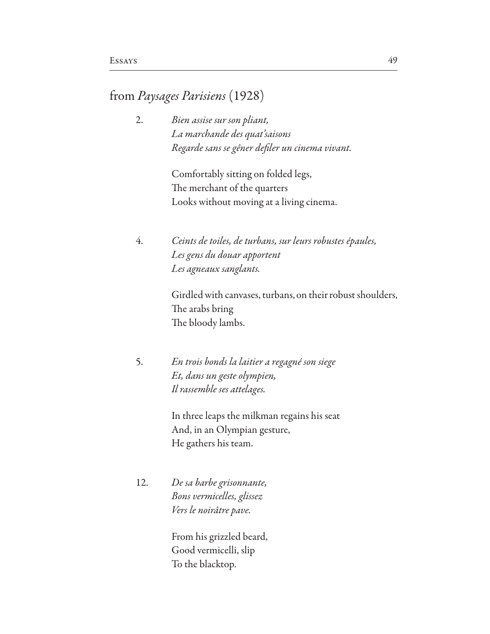## from *Paysages Parisiens* (1928)

2. *Bien assise sur son pliant, La marchande des quat'saisons Regarde sans se gêner de*f*ler un cinema vivant.*

> Comfortably sitting on folded legs, The merchant of the quarters Looks without moving at a living cinema.

4. *Ceints de toiles, de turbans, sur leurs robustes épaules, Les gens du douar apportent Les agneaux sanglants.*

> Girdled with canvases, turbans, on their robust shoulders, The arabs bring The bloody lambs.

5. *En trois bonds la laitier a regagné son siege Et, dans un geste olympien, Il rassemble ses attelages.*

> In three leaps the milkman regains his seat And, in an Olympian gesture, He gathers his team.

12. *De sa barbe grisonnante, Bons vermicelles, glissez Vers le noirâtre pave.*

> From his grizzled beard, Good vermicelli, slip To the blacktop.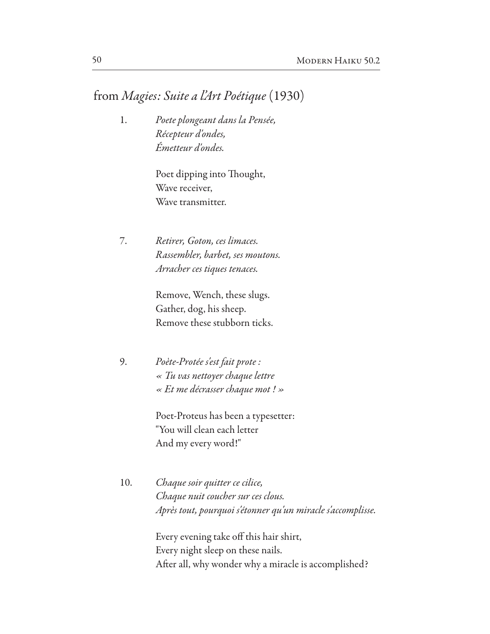## from *Magies: Suite a l'Art Poétique* (1930)

1. *Poete plongeant dans la Pensée, Récepteur d'ondes, Émetteur d'ondes.*

> Poet dipping into Thought, Wave receiver, Wave transmitter.

7. *Retirer, Goton, ces limaces. Rassembler, barbet, ses moutons. Arracher ces tiques tenaces.*

> Remove, Wench, these slugs. Gather, dog, his sheep. Remove these stubborn ticks.

9. *Poète-Protée s'est fait prote : « Tu vas nettoyer chaque lettre « Et me décrasser chaque mot ! »*

> Poet-Proteus has been a typesetter: "You will clean each letter And my every word!"

10. *Chaque soir quitter ce cilice, Chaque nuit coucher sur ces clous. Après tout, pourquoi s'étonner qu'un miracle s'accomplisse.*

> Every evening take off this hair shirt, Every night sleep on these nails. Afer all, why wonder why a miracle is accomplished?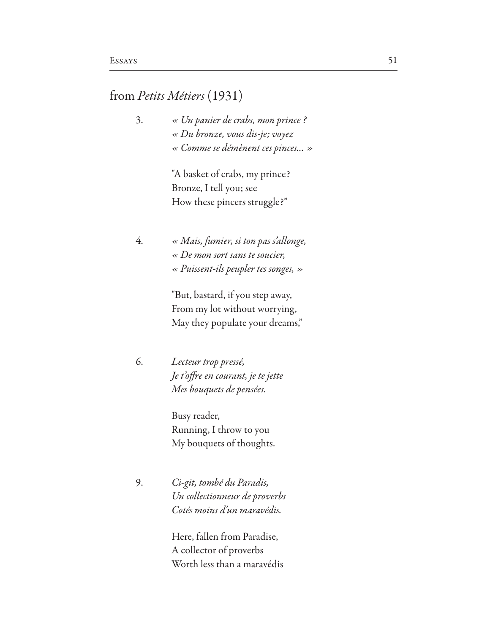## from *Petits Métiers* (1931)

3. *« Un panier de crabs, mon prince ? « Du bronze,* v*ous dis-je;* v*oyez « Comme se démènent ces pinces… »*

> "A basket of crabs, my prince? Bronze, I tell you; see How these pincers struggle?"

4. *« Mais, fumier, si ton pas s'allonge, « De mon sort sans te soucier, « Puissent-ils peupler tes songes, »*

> "But, bastard, if you step away, From my lot without worrying, May they populate your dreams,"

6. *Lecteur trop pressé, Je t'o*f*re en courant, je te jette Mes bouquets de pensées.*

> Busy reader, Running, I throw to you My bouquets of thoughts.

9. *Ci-git, tombé du Paradis, Un collectionneur de pro*v*erbs Cotés moins d'un maravédis.*

> Here, fallen from Paradise, A collector of proverbs Worth less than a maravédis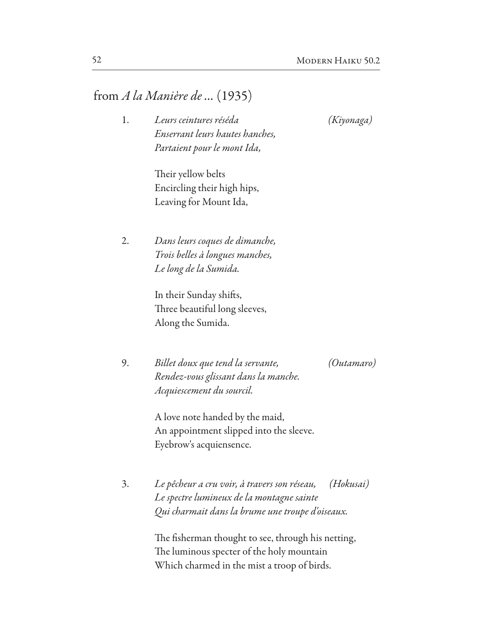## from *A la Manière de …* (1935)

1. *Leurs ceintures réséda (Kiyonaga) Enserrant leurs hautes hanches, Partaient pour le mont Ida,*

Their yellow belts Encircling their high hips, Leaving for Mount Ida,

2. *Dans leurs coques de dimanche, Trois belles à longues manches, Le long de la Sumida.*

> In their Sunday shifs, Three beautiful long sleeves, Along the Sumida.

9. *Billet doux que tend la servante, (Outamaro) Rendez-vous glissant dans la manche. Acquiescement du sourcil.*

 A love note handed by the maid, An appointment slipped into the sleeve. Eyebrow's acquiensence.

3. *Le pêcheur a cru* v*oir, à travers son réseau, (Hokusai) Le spectre lumineux de la montagne sainte Qui charmait dans la brume une troupe d'oiseaux.*

> The fisherman thought to see, through his netting, The luminous specter of the holy mountain Which charmed in the mist a troop of birds.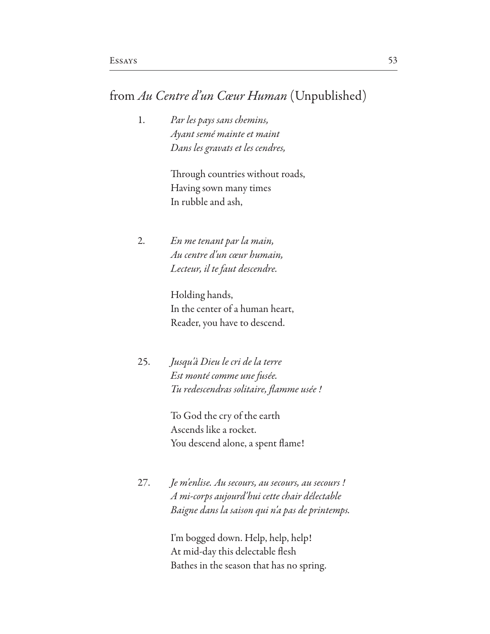## from Au Centre d'un Cœur Human (Unpublished)

Par les pays sans chemins,  $1.$ Ayant semé mainte et maint Dans les gravats et les cendres,

> Through countries without roads, Having sown many times In rubble and ash,

2. En me tenant par la main, Au centre d'un cœur humain, Lecteur, il te faut descendre.

> Holding hands, In the center of a human heart, Reader, you have to descend.

Jusqu'à Dieu le cri de la terre 25. Est monté comme une fusée. Tu redescendras solitaire, flamme usée !

> To God the cry of the earth Ascends like a rocket. You descend alone, a spent flame!

 $27.$ Je m'enlise. Au secours, au secours, au secours ! A mi-corps aujourd'hui cette chair délectable Baigne dans la saison qui n'a pas de printemps.

> I'm bogged down. Help, help, help! At mid-day this delectable flesh Bathes in the season that has no spring.